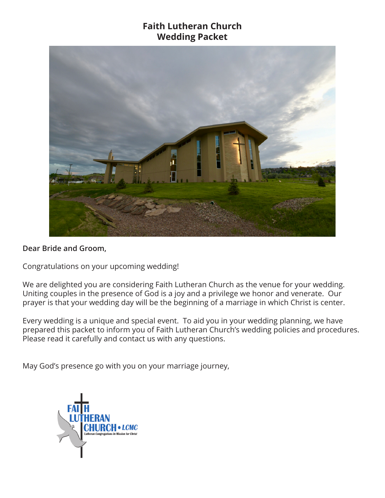## **Faith Lutheran Church Wedding Packet**



### **Dear Bride and Groom,**

Congratulations on your upcoming wedding!

We are delighted you are considering Faith Lutheran Church as the venue for your wedding. Uniting couples in the presence of God is a joy and a privilege we honor and venerate. Our prayer is that your wedding day will be the beginning of a marriage in which Christ is center.

Every wedding is a unique and special event. To aid you in your wedding planning, we have prepared this packet to inform you of Faith Lutheran Church's wedding policies and procedures. Please read it carefully and contact us with any questions.

May God's presence go with you on your marriage journey,

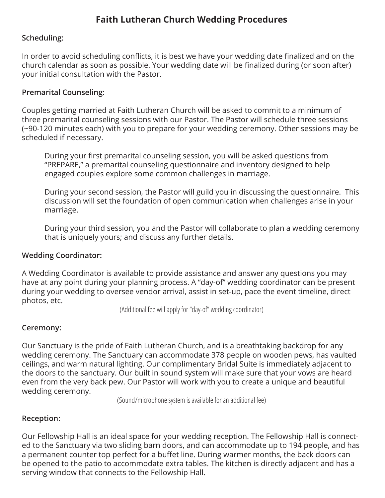# **Faith Lutheran Church Wedding Procedures**

## **Scheduling:**

In order to avoid scheduling conflicts, it is best we have your wedding date finalized and on the church calendar as soon as possible. Your wedding date will be finalized during (or soon after) your initial consultation with the Pastor.

## **Premarital Counseling:**

Couples getting married at Faith Lutheran Church will be asked to commit to a minimum of three premarital counseling sessions with our Pastor. The Pastor will schedule three sessions (~90-120 minutes each) with you to prepare for your wedding ceremony. Other sessions may be scheduled if necessary.

During your first premarital counseling session, you will be asked questions from "PREPARE," a premarital counseling questionnaire and inventory designed to help engaged couples explore some common challenges in marriage.

During your second session, the Pastor will guild you in discussing the questionnaire. This discussion will set the foundation of open communication when challenges arise in your marriage.

During your third session, you and the Pastor will collaborate to plan a wedding ceremony that is uniquely yours; and discuss any further details.

### **Wedding Coordinator:**

A Wedding Coordinator is available to provide assistance and answer any questions you may have at any point during your planning process. A "day-of" wedding coordinator can be present during your wedding to oversee vendor arrival, assist in set-up, pace the event timeline, direct photos, etc.

(Additional fee will apply for "day-of" wedding coordinator)

### **Ceremony:**

Our Sanctuary is the pride of Faith Lutheran Church, and is a breathtaking backdrop for any wedding ceremony. The Sanctuary can accommodate 378 people on wooden pews, has vaulted ceilings, and warm natural lighting. Our complimentary Bridal Suite is immediately adjacent to the doors to the sanctuary. Our built in sound system will make sure that your vows are heard even from the very back pew. Our Pastor will work with you to create a unique and beautiful wedding ceremony.

(Sound/microphone system is available for an additional fee)

### **Reception:**

Our Fellowship Hall is an ideal space for your wedding reception. The Fellowship Hall is connected to the Sanctuary via two sliding barn doors, and can accommodate up to 194 people, and has a permanent counter top perfect for a buffet line. During warmer months, the back doors can be opened to the patio to accommodate extra tables. The kitchen is directly adjacent and has a serving window that connects to the Fellowship Hall.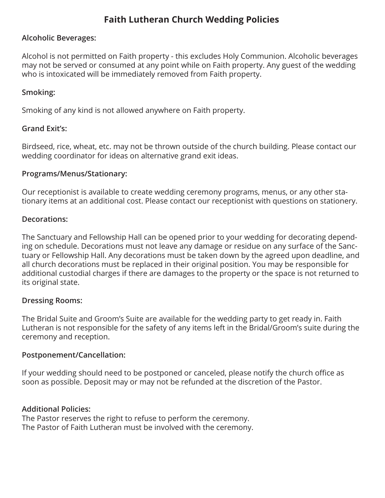# **Faith Lutheran Church Wedding Policies**

## **Alcoholic Beverages:**

Alcohol is not permitted on Faith property - this excludes Holy Communion. Alcoholic beverages may not be served or consumed at any point while on Faith property. Any guest of the wedding who is intoxicated will be immediately removed from Faith property.

## **Smoking:**

Smoking of any kind is not allowed anywhere on Faith property.

## **Grand Exit's:**

Birdseed, rice, wheat, etc. may not be thrown outside of the church building. Please contact our wedding coordinator for ideas on alternative grand exit ideas.

### **Programs/Menus/Stationary:**

Our receptionist is available to create wedding ceremony programs, menus, or any other stationary items at an additional cost. Please contact our receptionist with questions on stationery.

### **Decorations:**

The Sanctuary and Fellowship Hall can be opened prior to your wedding for decorating depending on schedule. Decorations must not leave any damage or residue on any surface of the Sanctuary or Fellowship Hall. Any decorations must be taken down by the agreed upon deadline, and all church decorations must be replaced in their original position. You may be responsible for additional custodial charges if there are damages to the property or the space is not returned to its original state.

## **Dressing Rooms:**

The Bridal Suite and Groom's Suite are available for the wedding party to get ready in. Faith Lutheran is not responsible for the safety of any items left in the Bridal/Groom's suite during the ceremony and reception.

### **Postponement/Cancellation:**

If your wedding should need to be postponed or canceled, please notify the church office as soon as possible. Deposit may or may not be refunded at the discretion of the Pastor.

### **Additional Policies:**

The Pastor reserves the right to refuse to perform the ceremony. The Pastor of Faith Lutheran must be involved with the ceremony.